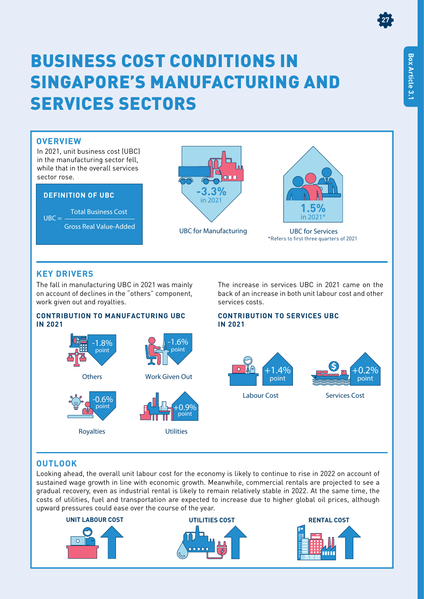# BUSINESS COST CONDITIONS IN SINGAPORE'S MANUFACTURING AND SERVICES SECTORS

## **OVERVIEW**

In 2021, unit business cost (UBC) in the manufacturing sector fell, while that in the overall services sector rose.

### **DEFINITION OF UBC**

Total Business Cost Gross Real Value-Added  $UBC =$ 





UBC for Manufacturing UBC for Services \*Refers to first three quarters of 2021

## **KEY DRIVERS**

The fall in manufacturing UBC in 2021 was mainly on account of declines in the "others" component, work given out and royalties.

### **CONTRIBUTION TO MANUFACTURING UBC IN 2021**

Royalties





back of an increase in both unit labour cost and other services costs. **CONTRIBUTION TO SERVICES UBC**

The increase in services UBC in 2021 came on the

## **IN 2021**



## **OUTLOOK**

Looking ahead, the overall unit labour cost for the economy is likely to continue to rise in 2022 on account of sustained wage growth in line with economic growth. Meanwhile, commercial rentals are projected to see a gradual recovery, even as industrial rental is likely to remain relatively stable in 2022. At the same time, the costs of utilities, fuel and transportation are expected to increase due to higher global oil prices, although upward pressures could ease over the course of the year.



**27**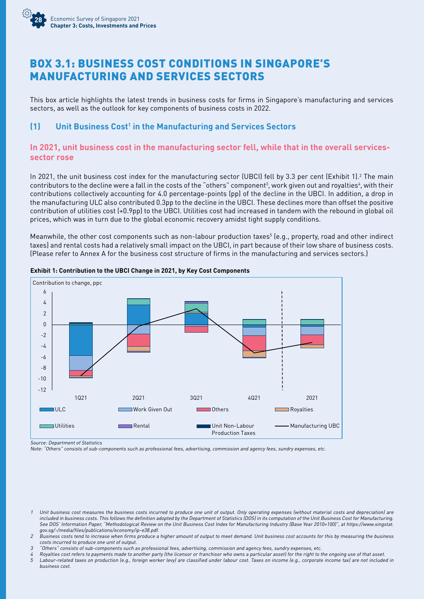

## BOX 3.1: BUSINESS COST CONDITIONS IN SINGAPORE'S MANUFACTURING AND SERVICES SECTORS

This box article highlights the latest trends in business costs for firms in Singapore's manufacturing and services sectors, as well as the outlook for key components of business costs in 2022.

### **(1)** Unit Business Cost<sup>1</sup> in the Manufacturing and Services Sectors

### **In 2021, unit business cost in the manufacturing sector fell, while that in the overall servicessector rose**

In 2021, the unit business cost index for the manufacturing sector (UBCI) fell by 3.3 per cent (Exhibit 1).<sup>2</sup> The main contributors to the decline were a fall in the costs of the "others" component<sup>3</sup>, work given out and royalties<sup>4</sup>, with their contributions collectively accounting for 4.0 percentage-points (pp) of the decline in the UBCI. In addition, a drop in the manufacturing ULC also contributed 0.3pp to the decline in the UBCI. These declines more than offset the positive contribution of utilities cost (+0.9pp) to the UBCI. Utilities cost had increased in tandem with the rebound in global oil prices, which was in turn due to the global economic recovery amidst tight supply conditions.

Meanwhile, the other cost components such as non-labour production taxes<sup>5</sup> (e.g., property, road and other indirect taxes) and rental costs had a relatively small impact on the UBCI, in part because of their low share of business costs. (Please refer to Annex A for the business cost structure of firms in the manufacturing and services sectors.)



#### **Exhibit 1: Contribution to the UBCI Change in 2021, by Key Cost Components**

Source: Department of Statistics

Note: "Others" consists of sub-components such as professional fees, advertising, commission and agency fees, sundry expenses, etc.

business cost.

<sup>1</sup> Unit business cost measures the business costs incurred to produce one unit of output. Only operating expenses (without material costs and depreciation) are included in business costs. This follows the definition adopted by the Department of Statistics (DOS) in its computation of the Unit Business Cost for Manufacturing. See DOS' Information Paper, "Methodological Review on the Unit Business Cost Index for Manufacturing Industry (Base Year 2010=100)", at https://www.singstat. gov.sg/-/media/files/publications/economy/ip-e38.pdf.

<sup>2</sup> Business costs tend to increase when firms produce a higher amount of output to meet demand. Unit business cost accounts for this by measuring the business costs incurred to produce one unit of output.

<sup>3</sup> "Others" consists of sub-components such as professional fees, advertising, commission and agency fees, sundry expenses, etc.

<sup>4</sup> Royalties cost refers to payments made to another party (the licensor or franchisor who owns a particular asset) for the right to the ongoing use of that asset. <sup>5</sup> Labour-related taxes on production (e.g., foreign worker levy) are classified under labour cost. Taxes on income (e.g., corporate income tax) are not included in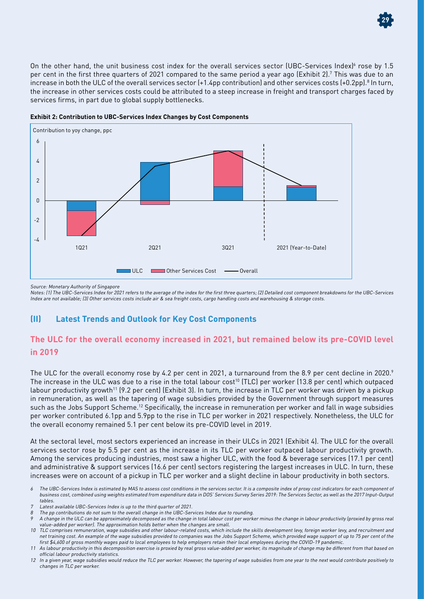On the other hand, the unit business cost index for the overall services sector (UBC-Services Index) $\epsilon$  rose by 1.5 per cent in the first three quarters of 2021 compared to the same period a year ago (Exhibit 2).7 This was due to an increase in both the ULC of the overall services sector (+1.4pp contribution) and other services costs (+0.2pp). $^{\rm 8}$  In turn, the increase in other services costs could be attributed to a steep increase in freight and transport charges faced by services firms, in part due to global supply bottlenecks.



**Exhibit 2: Contribution to UBC-Services Index Changes by Cost Components**

Source: Monetary Authority of Singapore

Notes: (1) The UBC-Services Index for 2021 refers to the average of the index for the first three quarters; (2) Detailed cost component breakdowns for the UBC-Services Index are not available; (3) Other services costs include air & sea freight costs, cargo handling costs and warehousing & storage costs.

## **(II) Latest Trends and Outlook for Key Cost Components**

## **The ULC for the overall economy increased in 2021, but remained below its pre-COVID level in 2019**

The ULC for the overall economy rose by 4.2 per cent in 2021, a turnaround from the 8.9 per cent decline in 2020.<sup>9</sup> The increase in the ULC was due to a rise in the total labour cost<sup>10</sup> (TLC) per worker (13.8 per cent) which outpaced labour productivity growth<sup>11</sup> (9.2 per cent) (Exhibit 3). In turn, the increase in TLC per worker was driven by a pickup in remuneration, as well as the tapering of wage subsidies provided by the Government through support measures such as the Jobs Support Scheme.<sup>12</sup> Specifically, the increase in remuneration per worker and fall in wage subsidies per worker contributed 6.1pp and 5.9pp to the rise in TLC per worker in 2021 respectively. Nonetheless, the ULC for the overall economy remained 5.1 per cent below its pre-COVID level in 2019.

At the sectoral level, most sectors experienced an increase in their ULCs in 2021 (Exhibit 4). The ULC for the overall services sector rose by 5.5 per cent as the increase in its TLC per worker outpaced labour productivity growth. Among the services producing industries, most saw a higher ULC, with the food & beverage services (17.1 per cent) and administrative & support services (16.6 per cent) sectors registering the largest increases in ULC. In turn, these increases were on account of a pickup in TLC per worker and a slight decline in labour productivity in both sectors.



<sup>6</sup> The UBC-Services Index is estimated by MAS to assess cost conditions in the services sector. It is a composite index of proxy cost indicators for each component of business cost, combined using weights estimated from expenditure data in DOS' Services Survey Series 2019: The Services Sector, as well as the 2017 Input-Output tables.

Latest available UBC-Services Index is up to the third quarter of 2021.

<sup>8</sup> The pp contributions do not sum to the overall change in the UBC-Services Index due to rounding.

<sup>9</sup> A change in the ULC can be approximately decomposed as the change in total labour cost per worker minus the change in labour productivity (proxied by gross real value-added per worker). The approximation holds better when the changes are small.

<sup>10</sup> TLC comprises remuneration, wage subsidies and other labour-related costs, which include the skills development levy, foreign worker levy, and recruitment and net training cost. An example of the wage subsidies provided to companies was the Jobs Support Scheme, which provided wage support of up to 75 per cent of the first \$4,600 of gross monthly wages paid to local employees to help employers retain their local employees during the COVID-19 pandemic.

<sup>11</sup> As labour productivity in this decomposition exercise is proxied by real gross value-added per worker, its magnitude of change may be different from that based on official labour productivity statistics.

<sup>12</sup> In a given year, wage subsidies would reduce the TLC per worker. However, the tapering of wage subsidies from one year to the next would contribute positively to changes in TLC per worker.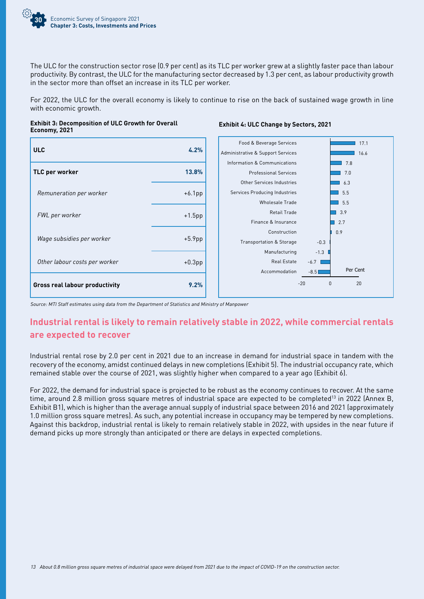

The ULC for the construction sector rose (0.9 per cent) as its TLC per worker grew at a slightly faster pace than labour productivity. By contrast, the ULC for the manufacturing sector decreased by 1.3 per cent, as labour productivity growth in the sector more than offset an increase in its TLC per worker.

For 2022, the ULC for the overall economy is likely to continue to rise on the back of sustained wage growth in line with economic growth.



#### **Exhibit 4: ULC Change by Sectors, 2021**



Source: MTI Staff estimates using data from the Department of Statistics and Ministry of Manpower

## **Industrial rental is likely to remain relatively stable in 2022, while commercial rentals are expected to recover**

Industrial rental rose by 2.0 per cent in 2021 due to an increase in demand for industrial space in tandem with the recovery of the economy, amidst continued delays in new completions (Exhibit 5). The industrial occupancy rate, which remained stable over the course of 2021, was slightly higher when compared to a year ago (Exhibit 6).

For 2022, the demand for industrial space is projected to be robust as the economy continues to recover. At the same time, around 2.8 million gross square metres of industrial space are expected to be completed<sup>13</sup> in 2022 (Annex B, Exhibit B1), which is higher than the average annual supply of industrial space between 2016 and 2021 (approximately 1.0 million gross square metres). As such, any potential increase in occupancy may be tempered by new completions. Against this backdrop, industrial rental is likely to remain relatively stable in 2022, with upsides in the near future if demand picks up more strongly than anticipated or there are delays in expected completions.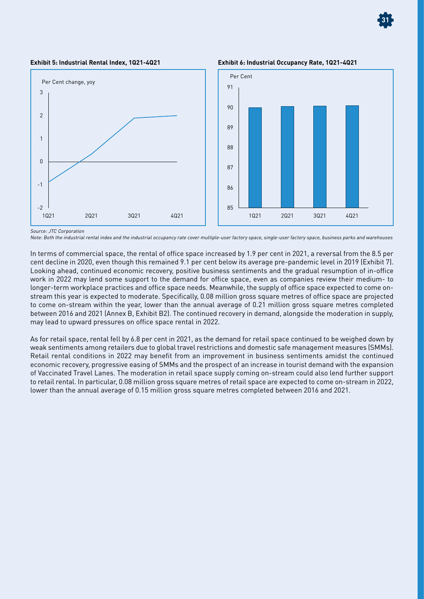

**Exhibit 5: Industrial Rental Index, 1Q21-4Q21 Exhibit 6: Industrial Occupancy Rate, 1Q21-4Q21**



Source: JTC Corporation

Note: Both the industrial rental index and the industrial occupancy rate cover multiple-user factory space, single-user factory space, business parks and warehouses

In terms of commercial space, the rental of office space increased by 1.9 per cent in 2021, a reversal from the 8.5 per cent decline in 2020, even though this remained 9.1 per cent below its average pre-pandemic level in 2019 (Exhibit 7). Looking ahead, continued economic recovery, positive business sentiments and the gradual resumption of in-office work in 2022 may lend some support to the demand for office space, even as companies review their medium- to longer-term workplace practices and office space needs. Meanwhile, the supply of office space expected to come onstream this year is expected to moderate. Specifically, 0.08 million gross square metres of office space are projected to come on-stream within the year, lower than the annual average of 0.21 million gross square metres completed between 2016 and 2021 (Annex B, Exhibit B2). The continued recovery in demand, alongside the moderation in supply, may lead to upward pressures on office space rental in 2022.

As for retail space, rental fell by 6.8 per cent in 2021, as the demand for retail space continued to be weighed down by weak sentiments among retailers due to global travel restrictions and domestic safe management measures (SMMs). Retail rental conditions in 2022 may benefit from an improvement in business sentiments amidst the continued economic recovery, progressive easing of SMMs and the prospect of an increase in tourist demand with the expansion of Vaccinated Travel Lanes. The moderation in retail space supply coming on-stream could also lend further support to retail rental. In particular, 0.08 million gross square metres of retail space are expected to come on-stream in 2022, lower than the annual average of 0.15 million gross square metres completed between 2016 and 2021.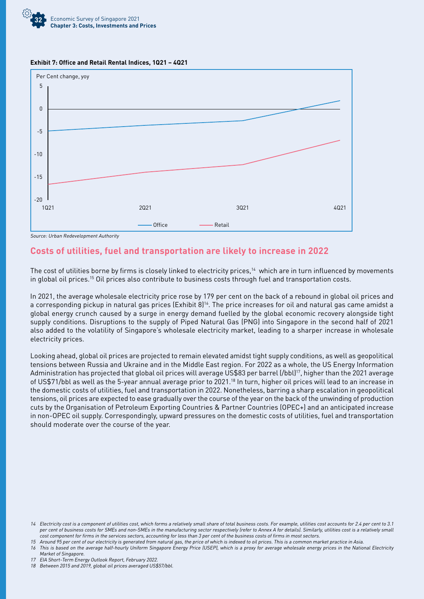





Source: Urban Redevelopment Authority

## **Costs of utilities, fuel and transportation are likely to increase in 2022**

The cost of utilities borne by firms is closely linked to electricity prices,<sup>14</sup> which are in turn influenced by movements in global oil prices.15 Oil prices also contribute to business costs through fuel and transportation costs.

In 2021, the average wholesale electricity price rose by 179 per cent on the back of a rebound in global oil prices and a corresponding pickup in natural gas prices (Exhibit 8)<sup>16</sup>. The price increases for oil and natural gas came amidst a global energy crunch caused by a surge in energy demand fuelled by the global economic recovery alongside tight supply conditions. Disruptions to the supply of Piped Natural Gas (PNG) into Singapore in the second half of 2021 also added to the volatility of Singapore's wholesale electricity market, leading to a sharper increase in wholesale electricity prices.

Looking ahead, global oil prices are projected to remain elevated amidst tight supply conditions, as well as geopolitical tensions between Russia and Ukraine and in the Middle East region. For 2022 as a whole, the US Energy Information Administration has projected that global oil prices will average US\$83 per barrel (/bbl)17, higher than the 2021 average of US\$71/bbl as well as the 5-year annual average prior to 2021.18 In turn, higher oil prices will lead to an increase in the domestic costs of utilities, fuel and transportation in 2022. Nonetheless, barring a sharp escalation in geopolitical tensions, oil prices are expected to ease gradually over the course of the year on the back of the unwinding of production cuts by the Organisation of Petroleum Exporting Countries & Partner Countries (OPEC+) and an anticipated increase in non-OPEC oil supply. Correspondingly, upward pressures on the domestic costs of utilities, fuel and transportation should moderate over the course of the year.

<sup>14</sup> Electricity cost is a component of utilities cost, which forms a relatively small share of total business costs. For example, utilities cost accounts for 2.4 per cent to 3.1 per cent of business costs for SMEs and non-SMEs in the manufacturing sector respectively (refer to Annex A for details). Similarly, utilities cost is a relatively small cost component for firms in the services sectors, accounting for less than 3 per cent of the business costs of firms in most sectors.

<sup>15</sup> Around 95 per cent of our electricity is generated from natural gas, the price of which is indexed to oil prices. This is a common market practice in Asia.

<sup>16</sup> This is based on the average half-hourly Uniform Singapore Energy Price (USEP), which is a proxy for average wholesale energy prices in the National Electricity Market of Singapore.

<sup>17</sup> EIA Short-Term Energy Outlook Report, February 2022.

<sup>18</sup> Between 2015 and 2019, global oil prices averaged US\$57/bbl.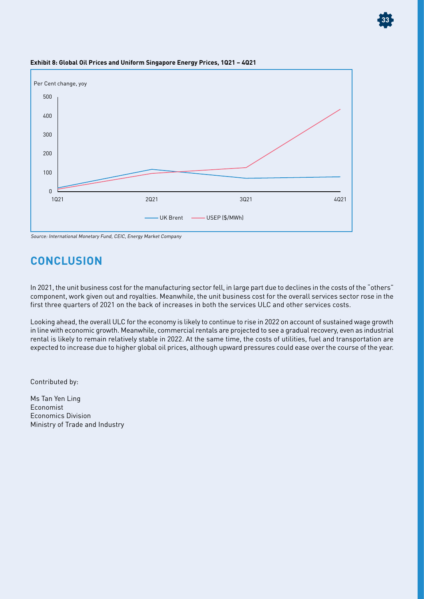

**33**

#### **Exhibit 8: Global Oil Prices and Uniform Singapore Energy Prices, 1Q21 – 4Q21**

Source: International Monetary Fund, CEIC, Energy Market Company

## **CONCLUSION**

In 2021, the unit business cost for the manufacturing sector fell, in large part due to declines in the costs of the "others" component, work given out and royalties. Meanwhile, the unit business cost for the overall services sector rose in the first three quarters of 2021 on the back of increases in both the services ULC and other services costs.

Looking ahead, the overall ULC for the economy is likely to continue to rise in 2022 on account of sustained wage growth in line with economic growth. Meanwhile, commercial rentals are projected to see a gradual recovery, even as industrial rental is likely to remain relatively stable in 2022. At the same time, the costs of utilities, fuel and transportation are expected to increase due to higher global oil prices, although upward pressures could ease over the course of the year.

Contributed by:

Ms Tan Yen Ling Economist Economics Division Ministry of Trade and Industry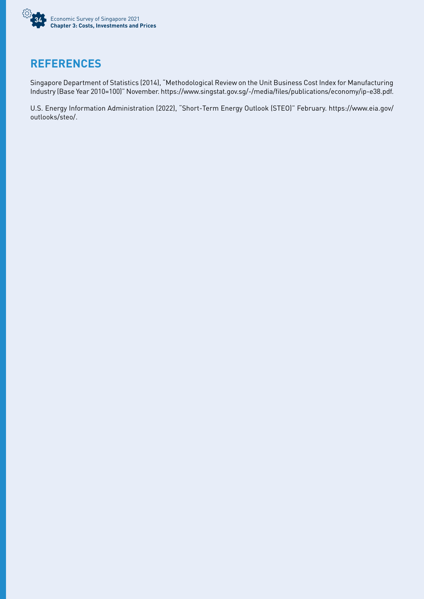

## **REFERENCES**

Singapore Department of Statistics (2014), "Methodological Review on the Unit Business Cost Index for Manufacturing Industry (Base Year 2010=100)" November. https://www.singstat.gov.sg/-/media/files/publications/economy/ip-e38.pdf.

U.S. Energy Information Administration (2022), "Short-Term Energy Outlook (STEO)" February. https://www.eia.gov/ outlooks/steo/.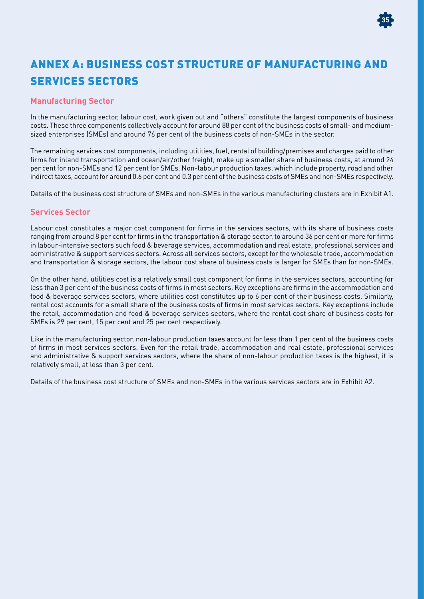

## ANNEX A: BUSINESS COST STRUCTURE OF MANUFACTURING AND SERVICES SECTORS

### **Manufacturing Sector**

In the manufacturing sector, labour cost, work given out and "others" constitute the largest components of business costs. These three components collectively account for around 88 per cent of the business costs of small- and mediumsized enterprises (SMEs) and around 76 per cent of the business costs of non-SMEs in the sector.

The remaining services cost components, including utilities, fuel, rental of building/premises and charges paid to other firms for inland transportation and ocean/air/other freight, make up a smaller share of business costs, at around 24 per cent for non-SMEs and 12 per cent for SMEs. Non-labour production taxes, which include property, road and other indirect taxes, account for around 0.6 per cent and 0.3 per cent of the business costs of SMEs and non-SMEs respectively.

Details of the business cost structure of SMEs and non-SMEs in the various manufacturing clusters are in Exhibit A1.

### **Services Sector**

Labour cost constitutes a major cost component for firms in the services sectors, with its share of business costs ranging from around 8 per cent for firms in the transportation & storage sector, to around 36 per cent or more for firms in labour-intensive sectors such food & beverage services, accommodation and real estate, professional services and administrative & support services sectors. Across all services sectors, except for the wholesale trade, accommodation and transportation & storage sectors, the labour cost share of business costs is larger for SMEs than for non-SMEs.

On the other hand, utilities cost is a relatively small cost component for firms in the services sectors, accounting for less than 3 per cent of the business costs of firms in most sectors. Key exceptions are firms in the accommodation and food & beverage services sectors, where utilities cost constitutes up to 6 per cent of their business costs. Similarly, rental cost accounts for a small share of the business costs of firms in most services sectors. Key exceptions include the retail, accommodation and food & beverage services sectors, where the rental cost share of business costs for SMEs is 29 per cent, 15 per cent and 25 per cent respectively.

Like in the manufacturing sector, non-labour production taxes account for less than 1 per cent of the business costs of firms in most services sectors. Even for the retail trade, accommodation and real estate, professional services and administrative & support services sectors, where the share of non-labour production taxes is the highest, it is relatively small, at less than 3 per cent.

Details of the business cost structure of SMEs and non-SMEs in the various services sectors are in Exhibit A2.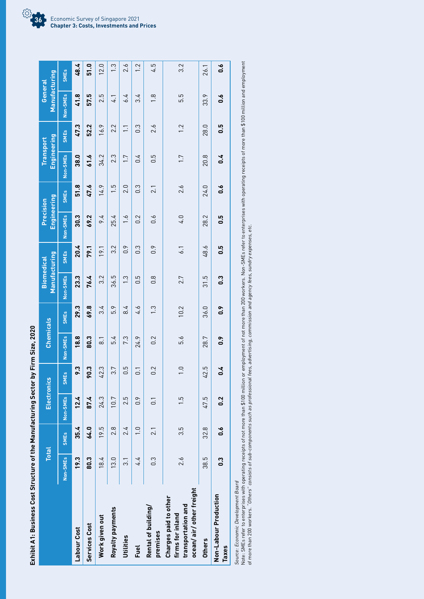|                                                                                            | <b>Total</b>  |               | <b>Electronics</b> |                                 | <b>Chemicals</b> |                        | Manufacturing<br><b>Biomedical</b> |                  | <b>Engineering</b><br>Precision |                  | Engineering<br>Transport |                | Manufacturing<br>General |                  |
|--------------------------------------------------------------------------------------------|---------------|---------------|--------------------|---------------------------------|------------------|------------------------|------------------------------------|------------------|---------------------------------|------------------|--------------------------|----------------|--------------------------|------------------|
|                                                                                            | Non-SMEs      | <b>SMEs</b>   | Non-SMEs           | <b>SMES</b>                     | Non-SMEs         | <b>SME<sub>s</sub></b> | Non-SMEs                           | <b>SMEs</b>      | Non-SMEs                        | <b>SMEs</b>      | Non-SMEs                 | <b>SMEs</b>    | Non-SMEs                 | <b>SMEs</b>      |
| Labour Cost                                                                                | 19.3          | 35.4          | 12.4               | 9.3                             | 18.8             | 29.3                   | 23.3                               | 20.4             | 30.3                            | 51.8             | 38.0                     | 47.3           | 41.8                     | 48.4             |
| Services Cost                                                                              | 80.3          | 64.0          | 87.4               | 90.3                            | 80.3             | 69.8                   | 76.4                               | 79.1             | 69.2                            | 47.6             | 61.6                     | 52.2           | 57.5                     | 51.0             |
| Work given out                                                                             | 18.4          | 19.5          | 24.3               | 42.3                            | $\overline{8}$   | 3.4                    | 3.2                                | 19.1             | 9.4                             | 14.9             | 34.2                     | 16.9           | 2.5                      | 12.0             |
| Royalty payments                                                                           | 13.0          | 2.8           | 10.7               | 3.7                             | 5.4              | 5.9                    | 36.5                               | 3.2              | 25.4                            | $\frac{5}{1}$    | 2.3                      | 2.2            | 4.1                      | $\frac{3}{2}$    |
| Utilities                                                                                  | $\frac{1}{3}$ | 24            | 2.5                | $0.\overline{5}$                | 7.3              | 8.4                    | က္                                 | 0.9              | $\ddot{ }$ .                    | 2.0              | 1.7                      | $\overline{1}$ | 6.4                      | 2.6              |
| Fuel                                                                                       | 4.4           | $\frac{0}{1}$ | 0.9                | $\overline{0}$ .                | 24.9             | 4.6                    | $\frac{5}{10}$                     | $0.\overline{3}$ | 0.2                             | $0.\overline{3}$ | 0.4                      | $\frac{3}{2}$  | 34                       | $\overline{1}$ . |
| Rental of building/<br>premises                                                            | $\frac{3}{2}$ | 2.1           | $\overline{0}$ .   | 0.2                             | 0.2              | $\frac{3}{2}$          | $0.\overline{8}$                   | 0.9              | $0.\overline{6}$                | 2.1              | 0.5                      | 2.6            | $\frac{8}{1}$            | 4.5              |
| ocean/air/other freight<br>Charges paid to other<br>transportation and<br>firms for inland | 2.6           | 3.5           | $\frac{5}{1}$      | $\overline{1}$ . $\overline{0}$ | 5.6              | 10.2                   | 2.7                                | 6.1              | 4.0                             | 2.6              | 1.7                      | 1.2            | 5.5                      | 3.2              |
| <b>Others</b>                                                                              | 38.5          | 32.8          | 47.5               | 42.5                            | 28.7             | 36.0                   | 31.5                               | 48.6             | 28.2                            | 24.0             | 20.8                     | 28.0           | 33.9                     | 26.1             |
| Non-Labour Production<br>Taxes                                                             | 0.3           | 0.6           | 0.2                | $\frac{1}{2}$                   | 0.9              | $\frac{6}{1}$          | 0.3                                | ۵.5              | 5.O                             | $0.\overline{6}$ | 0.4                      | 0.5            | $0.\overline{6}$         | 0.6              |
|                                                                                            |               |               |                    |                                 |                  |                        |                                    |                  |                                 |                  |                          |                |                          |                  |

Exhibit A1: Business Cost Structure of the Manufacturing Sector by Firm Size, 2020 **Exhibit A1: Business Cost Structure of the Manufacturing Sector by Firm Size, 2020**

Source: Economic Development Board

Source: Economic Development Board<br>Note: SMEs refer to enterprises with operating receipts of not more than \$100 million or employment of not than 200 workers. Non-SMEs refer to enterprises with operating receipts of more Note: SMEs refer to enterprises with operating receipts of not more than \$100 million or employment of not more than 200 workers. Non-SMEs refer to enterprises with operating receipts of more than \$100 million and employment of more than 200 workers. "Others" consists of sub-components such as professional fees, advertising, commission and agency fees, sundry expenses, etc.

Economic Survey of Singapore 2021 **Chapter 3: Costs, Investments and Prices 36**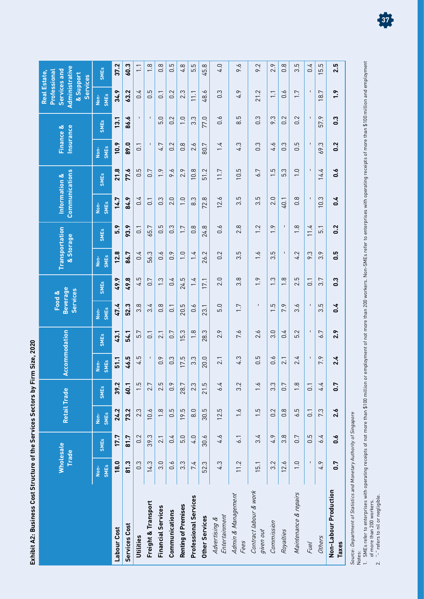| חפח                           |
|-------------------------------|
| ים ביות כול<br>$\overline{1}$ |
|                               |
| $\vdots$                      |
| .<br>!<br>i ca)llac alli      |
| <b>2204+1</b>                 |
|                               |
| e Cast City                   |
|                               |
| ֦                             |
|                               |

|                                       | <b>Wholesale</b>    | <b>Trade</b>     | <b>Retail Trade</b>            |                  |                            | Accommodation    |                                         | <b>Beverage</b><br>Services<br>Food & | Transportation<br>& Storage     |                  | <b>Communications</b><br>Information & |                   | <b>Insurance</b><br>Finance & |                   | Administrative<br>Services and<br><b>Real Estate,</b><br>Professional<br>& Support<br><b>Services</b> |                                     |
|---------------------------------------|---------------------|------------------|--------------------------------|------------------|----------------------------|------------------|-----------------------------------------|---------------------------------------|---------------------------------|------------------|----------------------------------------|-------------------|-------------------------------|-------------------|-------------------------------------------------------------------------------------------------------|-------------------------------------|
|                                       | <b>SMEs</b><br>Non- | <b>SMEs</b>      | <b>SME<sub>s</sub></b><br>Non- | <b>SMEs</b>      | <b>SMEs</b><br><u>Spir</u> | <b>SMEs</b>      | <b>SME<sub>S</sub></b><br>$\frac{1}{2}$ | <b>SMEs</b>                           | <b>SMEs</b><br>$\frac{1}{2}$    | <b>SMEs</b>      | <b>SME<sub>S</sub></b><br>Non-         | <b>SMEs</b>       | <b>SMEs</b><br>Non-           | <b>SMEs</b>       | <b>SMEs</b><br>Non-                                                                                   | <b>SMEs</b>                         |
| Labour Cost                           | 18.0                | 17.7             | 24.2                           | 39.2             | 51.1                       | 43.1             | 47.4                                    | 49.9                                  | 12.8                            | 5.9              | 14.7                                   | 21.8              | 10.9                          | 13.1              | 34.9                                                                                                  | 37.2                                |
| Services Cost                         | 81.3                | 81.7             | 73.2                           | 60.1             | 46.5                       | 54.1             | 52.3                                    | 49.8                                  | 86.7                            | 93.9             | 84.9                                   | 77.6              | 89.0                          | 86.6              | 63.2                                                                                                  | 60.3                                |
| Utilities                             | $0.\overline{3}$    | 0.2              | 2.3                            | $\frac{5}{1}$    | 4.5                        | 5.7              | $\infty$<br>က                           | 4.5                                   | 0.4                             | $\overline{0}$ . | 0.4                                    | $\overline{0}$ .5 | $\overline{0}$ .              | $\mathbf{I}$      | 0.4                                                                                                   | $\overline{\phantom{0}}$            |
| Freight & Transport                   | 14.3                | 39.3             | 10.6                           | 2.7              | $\mathbf I$                | $\overline{0}$ . | 3.4                                     | 0.7                                   | 56.3                            | 65.7             | $\overline{0}$                         | 0.7               | $\blacksquare$                | $\mathbf I$       | $0.\overline{5}$                                                                                      | $\frac{8}{1}$                       |
| <b>Financial Services</b>             | 3.0                 | 2.1              | $\frac{8}{1}$                  | 2.5              | 0.9                        | 2.1              | $0.\overline{8}$                        | $1.\overline{3}$                      | $0.\delta$                      | 0.5              | 0.3                                    | $\frac{9}{1}$     | 4.7                           | 5.0               | $\overline{C}$                                                                                        | $0.\overline{8}$                    |
| Communications                        | $0.\overline{6}$    | 0.4              | 0.5                            | 0.9              | $0.\overline{3}$           | 0.7              | $\overline{0}$ .                        | 0.4                                   | 0.9                             | $0.\overline{3}$ | 2.0                                    | 9.6               | 0.2                           | 0.2               | 0.2                                                                                                   | 5<br>ö                              |
| <b>Renting of Premises</b>            | $3.\overline{3}$    | 5.0              | 19.5                           | 28.7             | 17.5                       | 5.3              | 20.5                                    | 24.5                                  | $\overline{1}$ . $\overline{0}$ | 1.7              | $\overline{1}$ .0                      | 2.9               | $0.\overline{8}$              | $\overline{1}$ .0 | 2.3                                                                                                   | 4.8                                 |
| <b>Professional Services</b>          | 7.4                 | 4.0              | 8.0                            | 2.3              | 3.3                        | $\frac{8}{1}$    | $0.\overline{6}$                        | 1.4                                   | 1.4                             | $0.\overline{8}$ | 8.3                                    | 10.8              | 2.6                           | $3.\overline{3}$  | $\overline{111}$                                                                                      | 5.5                                 |
| Other Services                        | 52.3                | 30.6             | 30.5                           | 21.5             | 20.0                       | 28.3             | 23.1                                    | 17.1                                  | 26.2                            | 24.8             | 72.8                                   | 51.2              | 80.7                          | 77.0              | 48.6                                                                                                  | 45.8                                |
| Entertainment<br>Advertising &        | 4.3                 | 4.6              | 12.5                           | 6.4              | 2.1                        | 2.9              | 5.0                                     | 2.0                                   | 0.2                             | $0.\dot{6}$      | 12.6                                   | 11.7              | 1.4                           | $0.\dot{6}$       | $0.\overline{3}$                                                                                      | 4.0                                 |
| Admin & Management<br>Fees            | 11.2                | $\overline{6}$ . | $\ddot{0}$                     | 3.2              | 4.3                        | 7.6              | 1.7                                     | $3.\overline{8}$                      | 3.5                             | 2.8              | 5<br>က                                 | 5<br>$\Xi$        | 4.3                           | با<br>∞ं          | 4.9                                                                                                   | 9.6                                 |
| Contract labour & work<br>given out   | 15.1                | 3.4              | $\overline{1}.5$               | $\ddot{0}$       | بما<br>ö                   | 2.6              | I.                                      | 1.9                                   | $\frac{6}{1}$                   | 1.2              | 5<br>က                                 | 6.7               | $0.\overline{3}$              | 0.3               | 21.2                                                                                                  | 9.2                                 |
| Commission                            | 3.2                 | 4.9              | 0.2                            | $3.\overline{3}$ | $0.\overline{6}$           | 3.0              | 5<br>$\overline{ }$                     | <u>က</u><br>$\overline{\phantom{0}}$  | 5<br>$\overline{3}$             | $\ddot{ }$ .     | 2.0                                    | $\frac{1}{5}$     | 4.6                           | ς.<br>$\sim$      | $\overline{1}$ .                                                                                      | 2.9                                 |
| Royalties                             | 12.6                | $3.\overline{8}$ | $0.\overline{8}$               | 0.7              | 2.1                        | 0.4              | 7.9                                     | $\infty$<br>$\overline{ }$            | $\mathbf{I}$                    | $\mathbf{I}$     | 40.1                                   | 5.3               | $0.\overline{3}$              | Ņ<br>ö            | $0.\overline{6}$                                                                                      | $\infty$<br>ö                       |
| Maintenance & repairs                 | $\overline{1}$ .0   | 0.7              | 6.5                            | $\frac{8}{1}$    | 2.4                        | 5.2              | ۰o<br>က                                 | 2.5                                   | 4.2                             | $\frac{8}{1}$    | $\frac{8}{2}$                          | $\frac{0}{1}$     | $0.\overline{5}$              | 0.2               | 1.7                                                                                                   | 5<br>က                              |
| Fuel                                  |                     | $0.\overline{5}$ | $\overline{0}$ .               | $\overline{0}$ . |                            | $\mathbf{I}$     |                                         | $\overline{0}$ .                      | 9.3                             | 11.4             |                                        |                   | $\blacksquare$                |                   |                                                                                                       | 0.4                                 |
| Others                                | 4.9                 | 6.4              | 7.3                            | 4.4              | $\sim$<br>$\overline{ }$   | 6.7              | 5<br>က                                  | 3.7                                   | 3.9                             | $\overline{5}$ . | 10.3                                   | 14.4              | 69.3                          | 57.9              | 8.7                                                                                                   | 5<br>ςù<br>$\overline{\phantom{0}}$ |
| Non-Labour Production<br><b>Taxes</b> | 0.7                 | 0.6              | 2.6                            | 0.7              | 2.4                        | 2.9              | 0.4                                     | 0.3                                   | 0.5                             | 0.2              | 0.4                                    | 0.6               | 0.2                           | 0.3               | 1.9                                                                                                   | 2.5                                 |
|                                       |                     |                  |                                |                  |                            |                  |                                         |                                       |                                 |                  |                                        |                   |                               |                   |                                                                                                       |                                     |

Source: Department of Statistics and Monetary Authority of Singapore

Source: Department of Statistics and Monetary Authority of Singapore<br>Notes:<br>1. SMEs refer to enterprises with operating receipts of not more than \$100 million or employment of not than 0<br>2. "-" refers to nil or negligible. 1. SMEs refer to enterprises with operating receipts of not more than \$100 million or employment of not more than 200 workers. Non-SMEs refer to enterprises with operating receipts of more than \$100 million and employment of more than 200 workers.

2. "-" refers to nil or negligible.